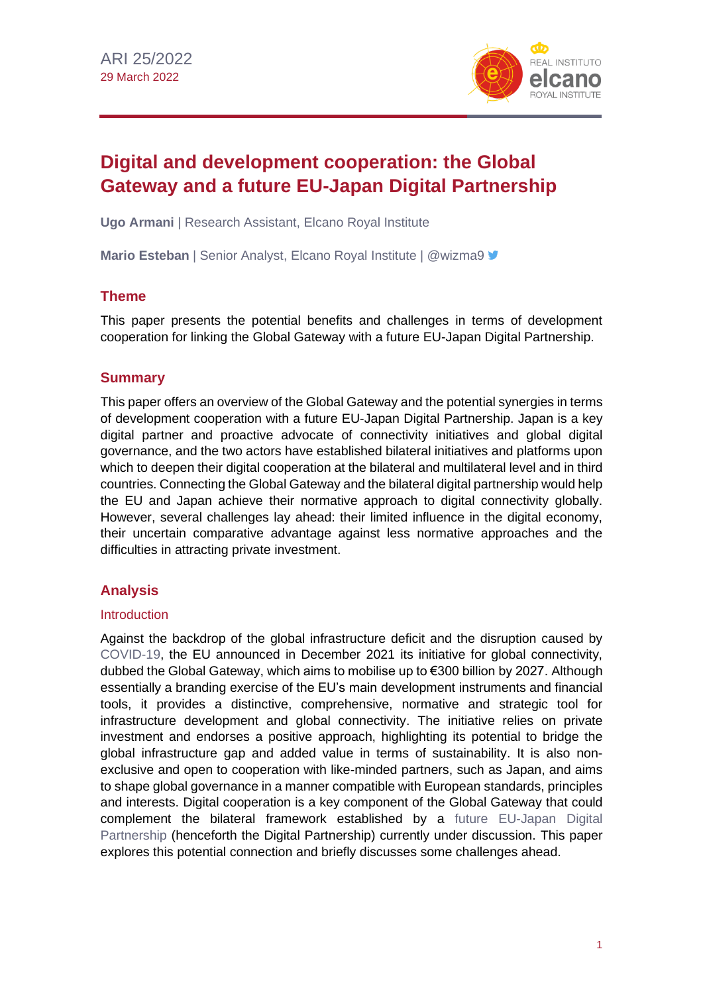

# **Digital and development cooperation: the Global Gateway and a future EU-Japan Digital Partnership**

**Ugo Armani** | Research Assistant, Elcano Royal Institute

**Mario Esteban** | Senior Analyst, Elcano Royal Institute | @wizma9

## **Theme**

This paper presents the potential benefits and challenges in terms of development cooperation for linking the Global Gateway with a future EU-Japan Digital Partnership.

# **Summary**

This paper offers an overview of the Global Gateway and the potential synergies in terms of development cooperation with a future EU-Japan Digital Partnership. Japan is a key digital partner and proactive advocate of connectivity initiatives and global digital governance, and the two actors have established bilateral initiatives and platforms upon which to deepen their digital cooperation at the bilateral and multilateral level and in third countries. Connecting the Global Gateway and the bilateral digital partnership would help the EU and Japan achieve their normative approach to digital connectivity globally. However, several challenges lay ahead: their limited influence in the digital economy, their uncertain comparative advantage against less normative approaches and the difficulties in attracting private investment.

# **Analysis**

#### **Introduction**

Against the backdrop of the global infrastructure deficit and the disruption caused by [COVID-19,](https://especiales.realinstitutoelcano.org/coronavirus/?lang=en) the EU announced in December 2021 its initiative for global connectivity, dubbed the Global Gateway, which aims to mobilise up to €300 billion by 2027. Although essentially a branding exercise of the EU's main development instruments and financial tools, it provides a distinctive, comprehensive, normative and strategic tool for infrastructure development and global connectivity. The initiative relies on private investment and endorses a positive approach, highlighting its potential to bridge the global infrastructure gap and added value in terms of sustainability. It is also nonexclusive and open to cooperation with like-minded partners, such as Japan, and aims to shape global governance in a manner compatible with European standards, principles and interests. Digital cooperation is a key component of the Global Gateway that could complement the bilateral framework established by a future [EU-Japan Digital](https://www.realinstitutoelcano.org/en/analyses/exploring-the-potential-of-a-future-eu-japan-digital-partnership-for-trade-governance/)  [Partnership](https://www.realinstitutoelcano.org/en/analyses/exploring-the-potential-of-a-future-eu-japan-digital-partnership-for-trade-governance/) (henceforth the Digital Partnership) currently under discussion. This paper explores this potential connection and briefly discusses some challenges ahead.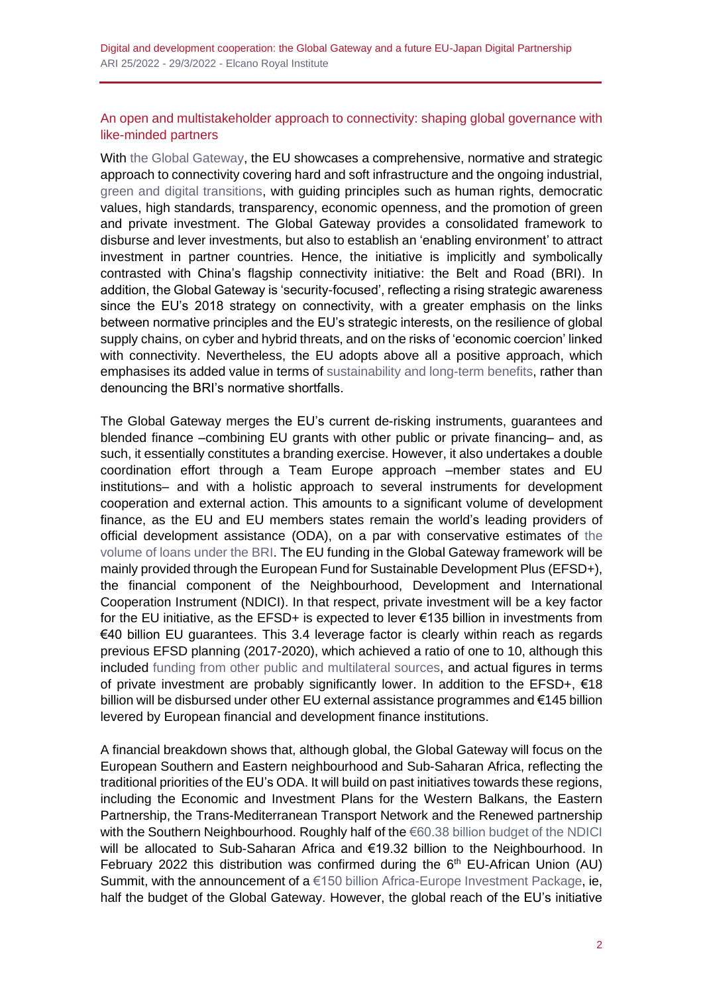Digital and development cooperation: the Global Gateway and a future EU-Japan Digital Partnership ARI 25/2022 - 29/3/2022 - Elcano Royal Institute

#### An open and multistakeholder approach to connectivity: shaping global governance with like-minded partners

With [the Global Gateway,](https://ec.europa.eu/info/sites/default/files/joint_communication_global_gateway.pdf) the EU showcases a comprehensive, normative and strategic approach to connectivity covering hard and soft infrastructure and the ongoing industrial, [green and digital transitions,](https://www.realinstitutoelcano.org/en/sustainability-driven-digital-transitions-tools-for-the-long-term/) with guiding principles such as human rights, democratic values, high standards, transparency, economic openness, and the promotion of green and private investment. The Global Gateway provides a consolidated framework to disburse and lever investments, but also to establish an 'enabling environment' to attract investment in partner countries. Hence, the initiative is implicitly and symbolically contrasted with China's flagship connectivity initiative: the Belt and Road (BRI). In addition, the Global Gateway is 'security-focused', reflecting a rising strategic awareness since the EU's 2018 strategy on connectivity, with a greater emphasis on the links between normative principles and the EU's strategic interests, on the resilience of global supply chains, on cyber and hybrid threats, and on the risks of 'economic coercion' linked with connectivity. Nevertheless, the EU adopts above all a positive approach, which emphasises its added value in terms of [sustainability and long-term benefits,](https://ec.europa.eu/commission/presscorner/detail/en/ip_21_6433) rather than denouncing the BRI's normative shortfalls.

The Global Gateway merges the EU's current de-risking instruments, guarantees and blended finance –combining EU grants with other public or private financing– and, as such, it essentially constitutes a branding exercise. However, it also undertakes a double coordination effort through a Team Europe approach –member states and EU institutions– and with a holistic approach to several instruments for development cooperation and external action. This amounts to a significant volume of development finance, as the EU and EU members states remain the world's leading providers of official development assistance (ODA), on a par with conservative estimates of [the](https://www.bruegel.org/2021/12/the-global-gateway-a-real-step-towards-a-stronger-europe-in-the-world/)  [volume of loans](https://www.bruegel.org/2021/12/the-global-gateway-a-real-step-towards-a-stronger-europe-in-the-world/) under the BRI. The EU funding in the Global Gateway framework will be mainly provided through the European Fund for Sustainable Development Plus (EFSD+), the financial component of the Neighbourhood, Development and International Cooperation Instrument (NDICI). In that respect, private investment will be a key factor for the EU initiative, as the EFSD+ is expected to lever €135 billion in investments from €40 billion EU guarantees. This 3.4 leverage factor is clearly within reach as regards previous EFSD planning (2017-2020), which achieved a ratio of one to 10, although this included funding from other [public and multilateral sources,](https://www.europarl.europa.eu/RegData/etudes/STUD/2020/603486/EXPO_STU(2020)603486_EN.pdf) and actual figures in terms of private investment are probably significantly lower. In addition to the EFSD+, €18 billion will be disbursed under other EU external assistance programmes and €145 billion levered by European financial and development finance institutions.

A financial breakdown shows that, although global, the Global Gateway will focus on the European Southern and Eastern neighbourhood and Sub-Saharan Africa, reflecting the traditional priorities of the EU's ODA. It will build on past initiatives towards these regions, including the Economic and Investment Plans for the Western Balkans, the Eastern Partnership, the Trans-Mediterranean Transport Network and the Renewed partnership with the Southern Neighbourhood. Roughly half of the [€60.38 billion budget of the NDICI](https://ec.europa.eu/international-partnerships/global-europe) will be allocated to Sub-Saharan Africa and €19.32 billion to the Neighbourhood. In February 2022 this distribution was confirmed during the  $6<sup>th</sup>$  EU-African Union (AU) Summit, with the announcement of  $a \in 150$  billion Africa-Europe Investment Package, ie, half the budget of the Global Gateway. However, the global reach of the EU's initiative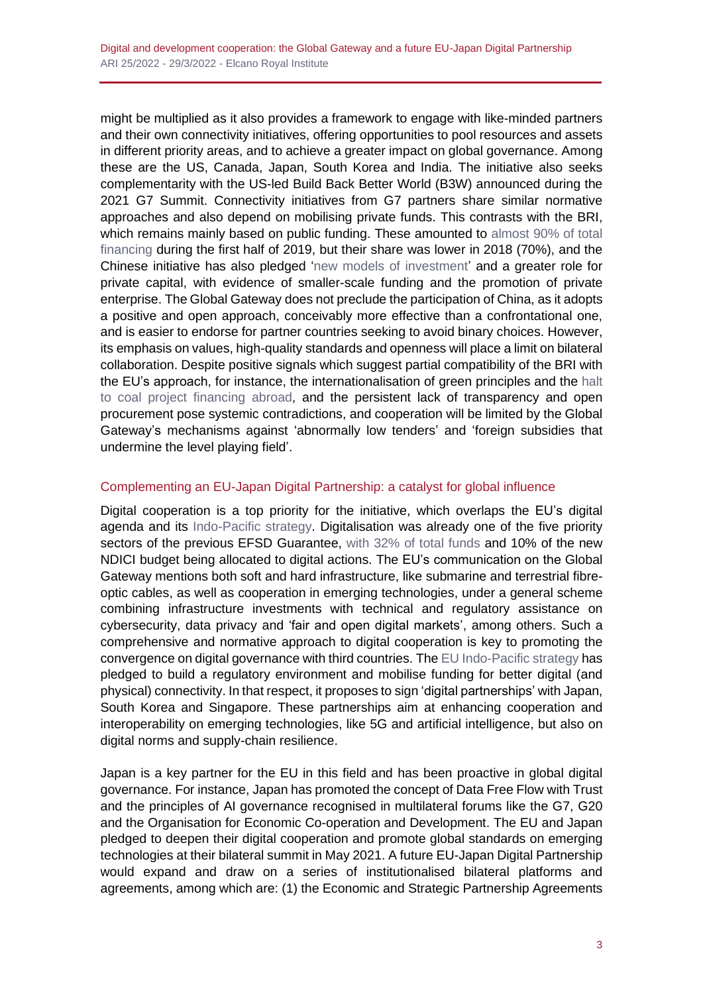might be multiplied as it also provides a framework to engage with like-minded partners and their own connectivity initiatives, offering opportunities to pool resources and assets in different priority areas, and to achieve a greater impact on global governance. Among these are the US, Canada, Japan, South Korea and India. The initiative also seeks complementarity with the US-led Build Back Better World (B3W) announced during the 2021 G7 Summit. Connectivity initiatives from G7 partners share similar normative approaches and also depend on mobilising private funds. This contrasts with the BRI, which remains mainly based on public funding. These amounted to almost 90% of total [financing](https://www.aei.org/wp-content/uploads/2018/11/Updated-BRI-Report.pdf?x91208) during the first half of 2019, but their share was lower in 2018 (70%), and the Chinese initiative has also pledged ['new models of investment'](https://www.mfa.gov.cn/ce/cena/eng/sgxw/t1461872.htm) and a greater role for private capital, with evidence of smaller-scale funding and the promotion of private enterprise. The Global Gateway does not preclude the participation of China, as it adopts a positive and open approach, conceivably more effective than a confrontational one, and is easier to endorse for partner countries seeking to avoid binary choices. However, its emphasis on values, high-quality standards and openness will place a limit on bilateral collaboration. Despite positive signals which suggest partial compatibility of the BRI with the EU's approach, for instance, the internationalisation of green principles and the [halt](https://www.reuters.com/world/china/xi-says-china-aims-provide-2-bln-vaccine-doses-by-year-end-2021-09-21/)  to [coal project](https://www.reuters.com/world/china/xi-says-china-aims-provide-2-bln-vaccine-doses-by-year-end-2021-09-21/) financing abroad, and the persistent lack of transparency and open procurement pose systemic contradictions, and cooperation will be limited by the Global Gateway's mechanisms against 'abnormally low tenders' and 'foreign subsidies that undermine the level playing field'.

## Complementing an EU-Japan Digital Partnership: a catalyst for global influence

Digital cooperation is a top priority for the initiative, which overlaps the EU's digital agenda and its [Indo-Pacific](https://ec.europa.eu/info/sites/default/files/jointcommunication_indo_pacific_en.pdf) strategy. Digitalisation was already one of the five priority sectors of the previous EFSD Guarantee, with [32% of total funds](https://ec.europa.eu/eu-external-investment-plan/sites/default/files/documents/efsd_guarantees-feb_2021-en.pdf) and 10% of the new NDICI budget being allocated to digital actions. The EU's communication on the Global Gateway mentions both soft and hard infrastructure, like submarine and terrestrial fibreoptic cables, as well as cooperation in emerging technologies, under a general scheme combining infrastructure investments with technical and regulatory assistance on cybersecurity, data privacy and 'fair and open digital markets', among others. Such a comprehensive and normative approach to digital cooperation is key to promoting the convergence on digital governance with third countries. Th[e EU Indo-Pacific strategy](https://www.realinstitutoelcano.org/en/analyses/the-eu-japan-partnership-in-the-indo-pacific-opportunities-and-challenges/) has pledged to build a regulatory environment and mobilise funding for better digital (and physical) connectivity. In that respect, it proposes to sign 'digital partnerships' with Japan, South Korea and Singapore. These partnerships aim at enhancing cooperation and interoperability on emerging technologies, like 5G and artificial intelligence, but also on digital norms and supply-chain resilience.

Japan is a key partner for the EU in this field and has been proactive in global digital governance. For instance, Japan has promoted the concept of Data Free Flow with Trust and the principles of AI governance recognised in multilateral forums like the G7, G20 and the Organisation for Economic Co-operation and Development. The EU and Japan pledged to deepen their digital cooperation and promote global standards on emerging technologies at their bilateral summit in May 2021. A future EU-Japan Digital Partnership would expand and draw on a series of institutionalised bilateral platforms and agreements, among which are: (1) the Economic and Strategic Partnership Agreements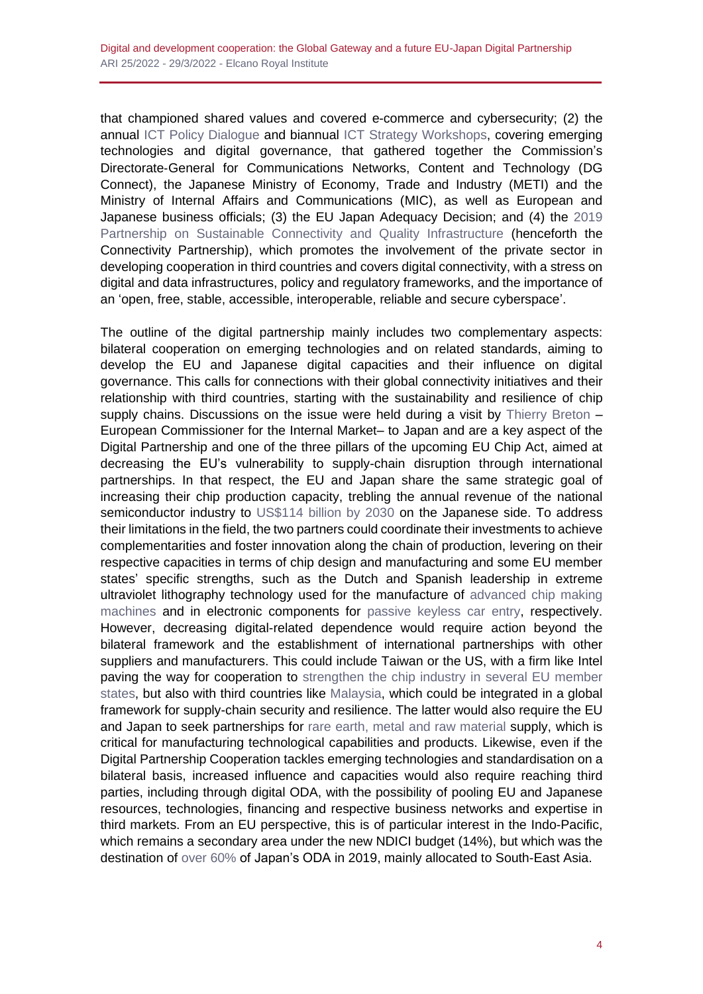that championed shared values and covered e-commerce and cybersecurity; (2) the annual [ICT Policy Dialogue](https://www.soumu.go.jp/main_sosiki/joho_tsusin/eng/pressrelease/2021/2/26_07.html) and biannual [ICT Strategy Workshops,](https://www.soumu.go.jp/main_sosiki/joho_tsusin/eng/pressrelease/2021/11/19_06.html) covering emerging technologies and digital governance, that gathered together the Commission's Directorate‑General for Communications Networks, Content and Technology (DG Connect), the Japanese Ministry of Economy, Trade and Industry (METI) and the Ministry of Internal Affairs and Communications (MIC), as well as European and Japanese business officials; (3) the EU Japan Adequacy Decision; and (4) the [2019](https://www.realinstitutoelcano.org/en/commentaries/connectivity-and-infrastructure-can-the-eu-japan-partnership-make-a-difference/)  [Partnership on Sustainable Connectivity and Quality Infrastructure](https://www.realinstitutoelcano.org/en/commentaries/connectivity-and-infrastructure-can-the-eu-japan-partnership-make-a-difference/) (henceforth the Connectivity Partnership), which promotes the involvement of the private sector in developing cooperation in third countries and covers digital connectivity, with a stress on digital and data infrastructures, policy and regulatory frameworks, and the importance of an 'open, free, stable, accessible, interoperable, reliable and secure cyberspace'.

The outline of the digital partnership mainly includes two complementary aspects: bilateral cooperation on emerging technologies and on related standards, aiming to develop the EU and Japanese digital capacities and their influence on digital governance. This calls for connections with their global connectivity initiatives and their relationship with third countries, starting with the sustainability and resilience of chip supply chains. Discussions on the issue were held during a visit by [Thierry Breton](https://ec.europa.eu/commission/commissioners/2019-2024/breton/blog/technological-geopolitics-its-time-europe-play-its-cards_en) -European Commissioner for the Internal Market– to Japan and are a key aspect of the Digital Partnership and one of the three pillars of the upcoming EU Chip Act, aimed at decreasing the EU's vulnerability to supply-chain disruption through international partnerships. In that respect, the EU and Japan share the same strategic goal of increasing their chip production capacity, trebling the annual revenue of the national semiconductor industry to [US\\$114 billion by 2030](https://www.japantimes.co.jp/news/2021/11/16/business/economy-business/domestic-chip-revenue/) on the Japanese side. To address their limitations in the field, the two partners could coordinate their investments to achieve complementarities and foster innovation along the chain of production, levering on their respective capacities in terms of chip design and manufacturing and some EU member states' specific strengths, such as the Dutch and Spanish leadership in extreme ultraviolet lithography technology used for the manufacture of [advanced chip making](https://www.nytimes.com/2021/07/04/technology/tech-cold-war-chips.html)  [machines](https://www.nytimes.com/2021/07/04/technology/tech-cold-war-chips.html) and in electronic components for [passive keyless car entry,](https://ec.europa.eu/commission/presscorner/detail/en/SPEECH_22_888) respectively. However, decreasing digital-related dependence would require action beyond the bilateral framework and the establishment of international partnerships with other suppliers and manufacturers. This could include Taiwan or the US, with a firm like Intel paving the way for cooperation to [strengthen the chip industry in](https://www.reuters.com/technology/germany-wins-big-intel-spreads-chip-investment-across-six-eu-countries-2022-03-15/) several EU member [states,](https://www.reuters.com/technology/germany-wins-big-intel-spreads-chip-investment-across-six-eu-countries-2022-03-15/) but also with third countries like [Malaysia,](https://www.reuters.com/technology/intel-invest-7-bln-new-plant-malaysia-creating-9000-jobs-2021-12-16/) which could be integrated in a global framework for supply-chain security and resilience. The latter would also require the EU and Japan to seek partnerships for [rare earth, metal](https://www.realinstitutoelcano.org/en/commentaries/the-global-gateway-its-not-the-money-its-the-strategy/) and raw material supply, which is critical for manufacturing technological capabilities and products. Likewise, even if the Digital Partnership Cooperation tackles emerging technologies and standardisation on a bilateral basis, increased influence and capacities would also require reaching third parties, including through digital ODA, with the possibility of pooling EU and Japanese resources, technologies, financing and respective business networks and expertise in third markets. From an EU perspective, this is of particular interest in the Indo-Pacific, which remains a secondary area under the new NDICI budget (14%), but which was the destination of [over 60%](https://www.oecd-ilibrary.org/sites/b8cf3944-en/index.html?itemId=/content/component/b8cf3944-en) of Japan's ODA in 2019, mainly allocated to South-East Asia.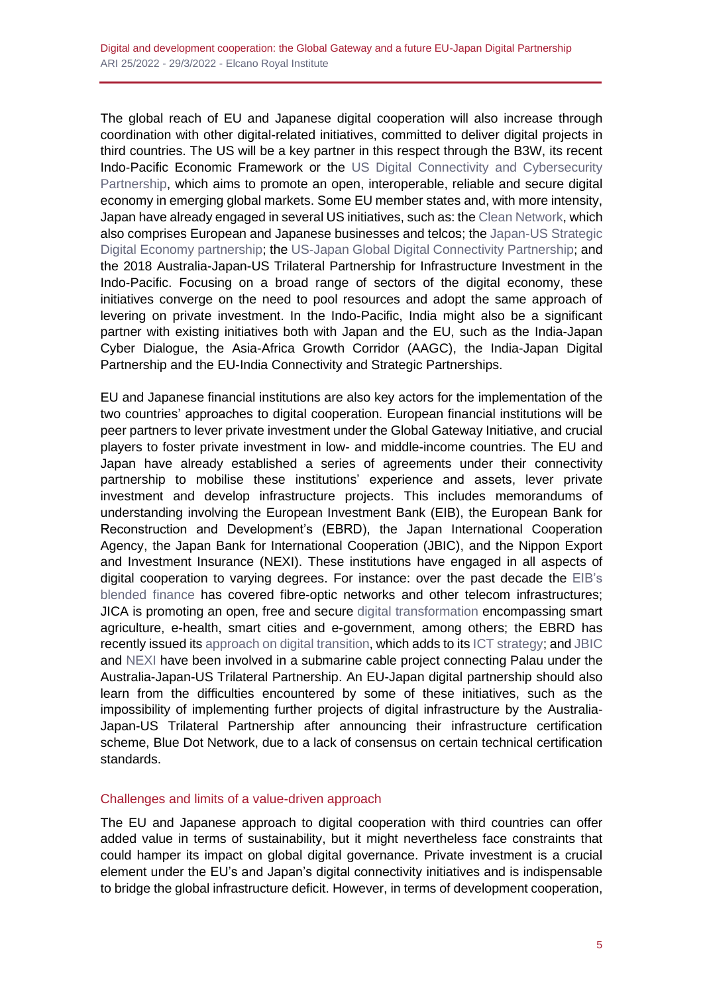The global reach of EU and Japanese digital cooperation will also increase through coordination with other digital-related initiatives, committed to deliver digital projects in third countries. The US will be a key partner in this respect through the B3W, its recent Indo-Pacific Economic Framework or the [US Digital Connectivity and Cybersecurity](https://www.state.gov/wp-content/uploads/2021/11/2021-023h-CD-DCCP-One-Pager-10292021-Accesssible-11012021.pdf)  [Partnership,](https://www.state.gov/wp-content/uploads/2021/11/2021-023h-CD-DCCP-One-Pager-10292021-Accesssible-11012021.pdf) which aims to promote an open, interoperable, reliable and secure digital economy in emerging global markets. Some EU member states and, with more intensity, Japan have already engaged in several US initiatives, such as: the [Clean Network,](https://2017-2021.state.gov/building-a-clean-network-key-milestones/index.html) which also comprises European and Japanese businesses and telcos; the [Japan-US Strategic](https://www.mofa.go.jp/files/000482895.pdf)  [Digital Economy partnership;](https://www.mofa.go.jp/files/000482895.pdf) the [US-Japan Global Digital Connectivity Partnership;](https://www.state.gov/joint-statement-on-the-launch-of-the-u-s-japan-global-digital-connectivity-partnership/) and the 2018 Australia-Japan-US Trilateral Partnership for Infrastructure Investment in the Indo-Pacific. Focusing on a broad range of sectors of the digital economy, these initiatives converge on the need to pool resources and adopt the same approach of levering on private investment. In the Indo-Pacific, India might also be a significant partner with existing initiatives both with Japan and the EU, such as the India-Japan Cyber Dialogue, the Asia-Africa Growth Corridor (AAGC), the India-Japan Digital Partnership and the EU-India Connectivity and Strategic Partnerships.

EU and Japanese financial institutions are also key actors for the implementation of the two countries' approaches to digital cooperation. European financial institutions will be peer partners to lever private investment under the Global Gateway Initiative, and crucial players to foster private investment in low- and middle-income countries. The EU and Japan have already established a series of agreements under their connectivity partnership to mobilise these institutions' experience and assets, lever private investment and develop infrastructure projects. This includes memorandums of understanding involving the European Investment Bank (EIB), the European Bank for Reconstruction and Development's (EBRD), the Japan International Cooperation Agency, the Japan Bank for International Cooperation (JBIC), and the Nippon Export and Investment Insurance (NEXI). These institutions have engaged in all aspects of digital cooperation to varying degrees. For instance: over the past decade the [EIB's](https://www.eib.org/en/projects/pipelines/)  [blended finance](https://www.eib.org/en/projects/pipelines/) has covered fibre-optic networks and other telecom infrastructures; JICA is promoting an open, free and secure [digital transformation](https://www.jica.go.jp/activities/issues/digital/ei8tc50000005j05-att/digital_en.pdf) encompassing smart agriculture, e-health, smart cities and e-government, among others; the EBRD has recently issued its [approach on digital transition,](https://www.ebrd.com/news/2021/ebrd-adopts-first-digital-approach.html) which adds to it[s ICT strategy;](https://www.ebrd.com/what-we-do/sectors-and-topics/ict/overview.html) and [JBIC](https://www.jbic.go.jp/en/about/introduction/images/infra06.pdf) and [NEXI](https://www.nexi.go.jp/corporate/booklet/pdf/annual2020-e.pdf) have been involved in a submarine cable project connecting Palau under the Australia-Japan-US Trilateral Partnership. An EU-Japan digital partnership should also learn from the difficulties encountered by some of these initiatives, such as the impossibility of implementing further projects of digital infrastructure by the Australia-Japan-US Trilateral Partnership after announcing their infrastructure certification scheme, Blue Dot Network, due to a lack of consensus on certain technical certification standards.

#### Challenges and limits of a value-driven approach

The EU and Japanese approach to digital cooperation with third countries can offer added value in terms of sustainability, but it might nevertheless face constraints that could hamper its impact on global digital governance. Private investment is a crucial element under the EU's and Japan's digital connectivity initiatives and is indispensable to bridge the global infrastructure deficit. However, in terms of development cooperation,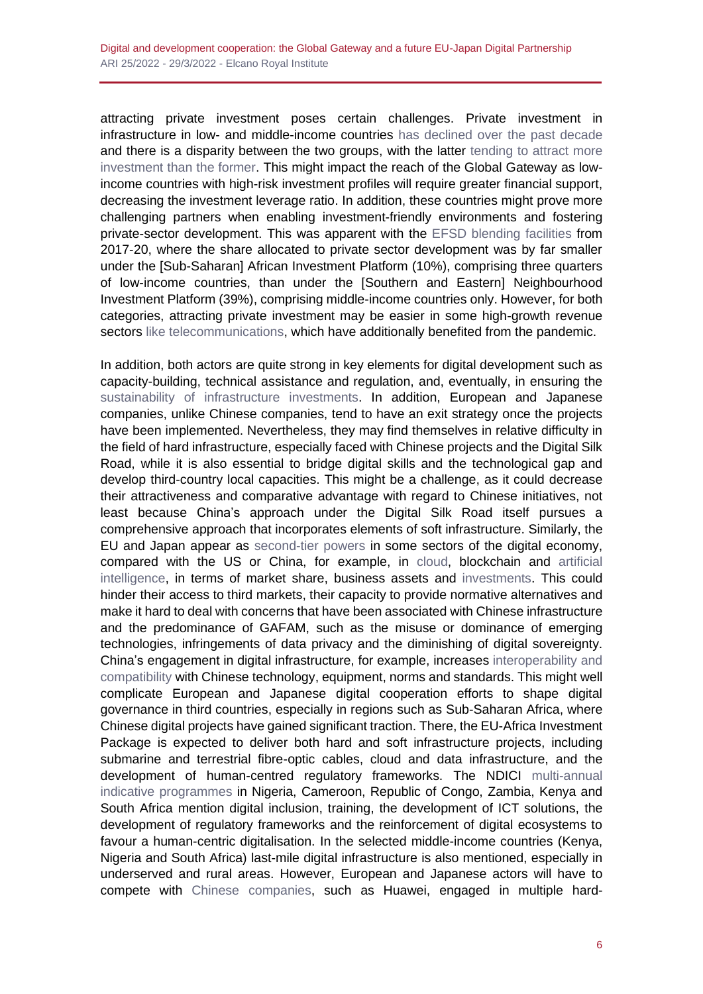attracting private investment poses certain challenges. Private investment in infrastructure in low- and middle-income countries [has declined over the past decade](https://cdn.gihub.org/umbraco/media/4374/gihub_v9.pdf) and there is a disparity between the two groups, with the latter tending to attract more [investment than the former.](https://www.oecd-ilibrary.org/sites/57620d04-en/1/3/4/index.html?itemId=/content/publication/57620d04-en&_csp_=d7d2658c58d2adcaf3a5f084421f4758&itemIGO=oecd&itemContentType=book) This might impact the reach of the Global Gateway as lowincome countries with high-risk investment profiles will require greater financial support, decreasing the investment leverage ratio. In addition, these countries might prove more challenging partners when enabling investment-friendly environments and fostering private-sector development. This was apparent with the [EFSD blending facilities](https://ec.europa.eu/eu-external-investment-plan/sites/default/files/documents/efsd_operational_report_en.pdf) from 2017-20, where the share allocated to private sector development was by far smaller under the [Sub-Saharan] African Investment Platform (10%), comprising three quarters of low-income countries, than under the [Southern and Eastern] Neighbourhood Investment Platform (39%), comprising middle-income countries only. However, for both categories, attracting private investment may be easier in some high-growth revenue sectors [like telecommunications,](https://unctad.org/system/files/official-document/ldcr2019_ch3_en.pdf) which have additionally benefited from the pandemic.

In addition, both actors are quite strong in key elements for digital development such as capacity-building, technical assistance and regulation, and, eventually, in ensuring the [sustainability of infrastructure investments.](https://ecdpm.org/talking-points/eu-global-gateway-groundbreaking-initiative-smart-rebranding/) In addition, European and Japanese companies, unlike Chinese companies, tend to have an exit strategy once the projects have been implemented. Nevertheless, they may find themselves in relative difficulty in the field of hard infrastructure, especially faced with Chinese projects and the Digital Silk Road, while it is also essential to bridge digital skills and the technological gap and develop third-country local capacities. This might be a challenge, as it could decrease their attractiveness and comparative advantage with regard to Chinese initiatives, not least because China's approach under the Digital Silk Road itself pursues a comprehensive approach that incorporates elements of soft infrastructure. Similarly, the EU and Japan appear as [second-tier](https://unctad.org/system/files/official-document/tir2020_en.pdf#page=47) powers in some sectors of the digital economy, compared with the US or China, for example, in [cloud,](https://www.gartner.com/en/newsroom/press-releases/2021-06-28-gartner-says-worldwide-iaas-public-cloud-services-market-grew-40-7-percent-in-2020) blockchain and [artificial](https://itif.org/publications/2021/01/25/who-winning-ai-race-china-eu-or-united-states-2021-update)  [intelligence,](https://itif.org/publications/2021/01/25/who-winning-ai-race-china-eu-or-united-states-2021-update) in terms of market share, business assets and [investments.](https://www.eib.org/attachments/thematic/artificial_intelligence_blockchain_and_the_future_of_europe_en.pdf) This could hinder their access to third markets, their capacity to provide normative alternatives and make it hard to deal with concerns that have been associated with Chinese infrastructure and the predominance of GAFAM, such as the misuse or dominance of emerging technologies, infringements of data privacy and the diminishing of digital sovereignty. China's engagement in digital infrastructure, for example, increases [interoperability and](https://www.clingendael.org/sites/default/files/2020-07/Report_Digital_Silk_Road_July_2020.pdf)  [compatibility](https://www.clingendael.org/sites/default/files/2020-07/Report_Digital_Silk_Road_July_2020.pdf) with Chinese technology, equipment, norms and standards. This might well complicate European and Japanese digital cooperation efforts to shape digital governance in third countries, especially in regions such as Sub-Saharan Africa, where Chinese digital projects have gained significant traction. There, the EU-Africa Investment Package is expected to deliver both hard and soft infrastructure projects, including submarine and terrestrial fibre-optic cables, cloud and data infrastructure, and the development of human-centred regulatory frameworks. The NDICI multi-annual [indicative programmes](https://ec.europa.eu/international-partnerships/global-europe-programming_en) in Nigeria, Cameroon, Republic of Congo, Zambia, Kenya and South Africa mention digital inclusion, training, the development of ICT solutions, the development of regulatory frameworks and the reinforcement of digital ecosystems to favour a human-centric digitalisation. In the selected middle-income countries (Kenya, Nigeria and South Africa) last-mile digital infrastructure is also mentioned, especially in underserved and rural areas. However, European and Japanese actors will have to compete with [Chinese companies,](https://chinatechmap.aspi.org.au/#/map/) such as Huawei, engaged in multiple hard